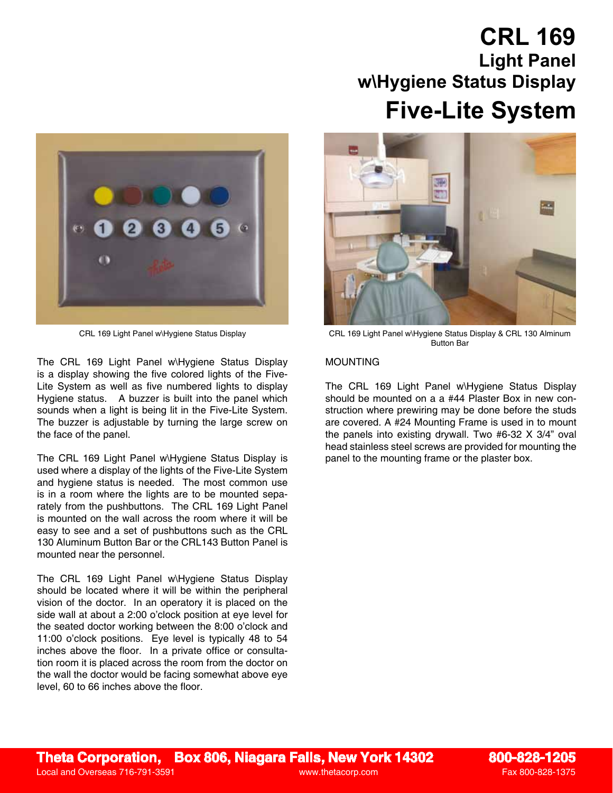# **CRL 169 Light Panel w\Hygiene Status Display Five-Lite System**



The CRL 169 Light Panel w\Hygiene Status Display is a display showing the five colored lights of the Five-Lite System as well as five numbered lights to display Hygiene status. A buzzer is built into the panel which sounds when a light is being lit in the Five-Lite System. The buzzer is adjustable by turning the large screw on the face of the panel.

The CRL 169 Light Panel w\Hygiene Status Display is used where a display of the lights of the Five-Lite System and hygiene status is needed. The most common use is in a room where the lights are to be mounted separately from the pushbuttons. The CRL 169 Light Panel is mounted on the wall across the room where it will be easy to see and a set of pushbuttons such as the CRL 130 Aluminum Button Bar or the CRL143 Button Panel is mounted near the personnel.

The CRL 169 Light Panel w\Hygiene Status Display should be located where it will be within the peripheral vision of the doctor. In an operatory it is placed on the side wall at about a 2:00 o'clock position at eye level for the seated doctor working between the 8:00 o'clock and 11:00 o'clock positions. Eye level is typically 48 to 54 inches above the floor. In a private office or consultation room it is placed across the room from the doctor on the wall the doctor would be facing somewhat above eye level, 60 to 66 inches above the floor.



CRL 169 Light Panel w\Hygiene Status Display CRL 169 Light Panel w\Hygiene Status Display & CRL 130 Alminum Button Bar

### MOUNTING

The CRL 169 Light Panel w\Hygiene Status Display should be mounted on a a #44 Plaster Box in new construction where prewiring may be done before the studs are covered. A #24 Mounting Frame is used in to mount the panels into existing drywall. Two #6-32 X 3/4" oval head stainless steel screws are provided for mounting the panel to the mounting frame or the plaster box.

## **Theta Corporation, Box 806, Niagara Falls, New York 14302 800-828-1205**

Local and Overseas 716-791-3591 www.thetacorp.com Fax 800-828-1375